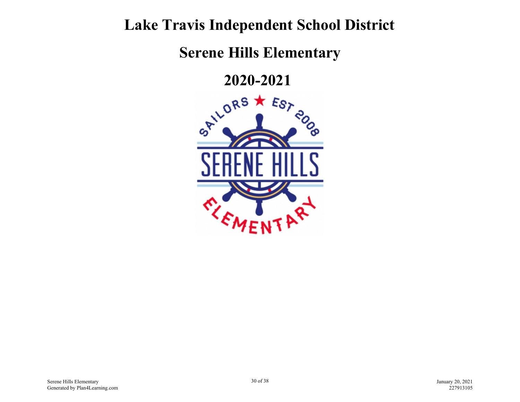## **Lake Travis Independent School District**

**Serene Hills Elementary**

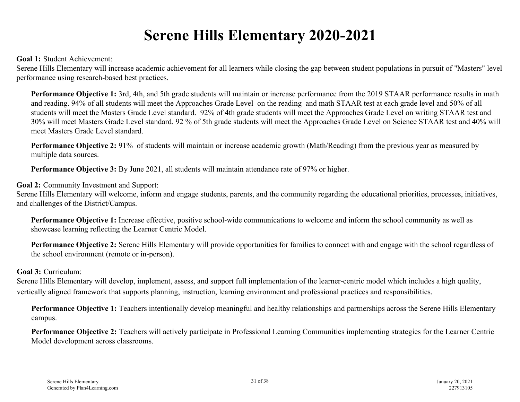## **Serene Hills Elementary 2020-2021**

## **Goal 1:** Student Achievement:

Serene Hills Elementary will increase academic achievement for all learners while closing the gap between student populations in pursuit of "Masters" level performance using research-based best practices.

**Performance Objective 1:** 3rd, 4th, and 5th grade students will maintain or increase performance from the 2019 STAAR performance results in math and reading. 94% of all students will meet the Approaches Grade Level on the reading and math STAAR test at each grade level and 50% of all students will meet the Masters Grade Level standard. 92% of 4th grade students will meet the Approaches Grade Level on writing STAAR test and 30% will meet Masters Grade Level standard. 92 % of 5th grade students will meet the Approaches Grade Level on Science STAAR test and 40% will meet Masters Grade Level standard.

**Performance Objective 2:** 91% of students will maintain or increase academic growth (Math/Reading) from the previous year as measured by multiple data sources.

**Performance Objective 3:** By June 2021, all students will maintain attendance rate of 97% or higher.

**Goal 2:** Community Investment and Support:

Serene Hills Elementary will welcome, inform and engage students, parents, and the community regarding the educational priorities, processes, initiatives, and challenges of the District/Campus.

**Performance Objective 1:** Increase effective, positive school-wide communications to welcome and inform the school community as well as showcase learning reflecting the Learner Centric Model.

**Performance Objective 2:** Serene Hills Elementary will provide opportunities for families to connect with and engage with the school regardless of the school environment (remote or in-person).

## **Goal 3:** Curriculum:

Serene Hills Elementary will develop, implement, assess, and support full implementation of the learner-centric model which includes a high quality, vertically aligned framework that supports planning, instruction, learning environment and professional practices and responsibilities.

**Performance Objective 1:** Teachers intentionally develop meaningful and healthy relationships and partnerships across the Serene Hills Elementary campus.

**Performance Objective 2:** Teachers will actively participate in Professional Learning Communities implementing strategies for the Learner Centric Model development across classrooms.